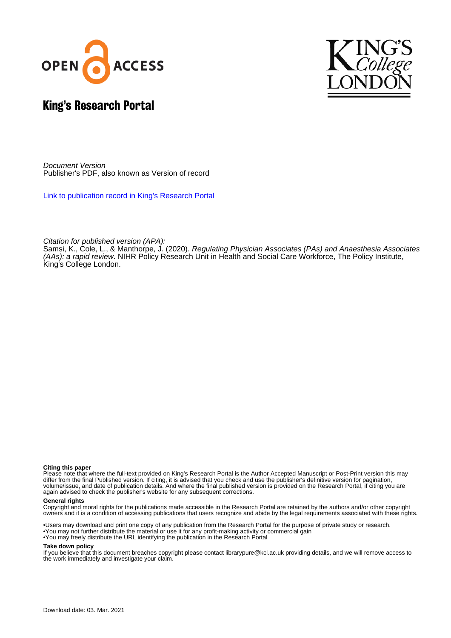



## King's Research Portal

Document Version Publisher's PDF, also known as Version of record

[Link to publication record in King's Research Portal](https://kclpure.kcl.ac.uk/portal/en/publications/regulating-physician-associates-pas-and-anaesthesia-associates-aas-a-rapid-review(8f8b1040-632d-4f93-bd77-93ae878188a7).html)

Citation for published version (APA):

[Samsi, K.](/portal/kritika.1.samsi.html)[, Cole, L.](https://kclpure.kcl.ac.uk/portal/en/persons/laura-cole(80fe247a-197e-4d03-9cad-6b98939af661).html)[, & Manthorpe, J.](/portal/jill.manthorpe.html) (2020). [Regulating Physician Associates \(PAs\) and Anaesthesia Associates](https://kclpure.kcl.ac.uk/portal/en/publications/regulating-physician-associates-pas-and-anaesthesia-associates-aas-a-rapid-review(8f8b1040-632d-4f93-bd77-93ae878188a7).html) [\(AAs\): a rapid review](https://kclpure.kcl.ac.uk/portal/en/publications/regulating-physician-associates-pas-and-anaesthesia-associates-aas-a-rapid-review(8f8b1040-632d-4f93-bd77-93ae878188a7).html). NIHR Policy Research Unit in Health and Social Care Workforce, The Policy Institute, King's College London.

#### **Citing this paper**

Please note that where the full-text provided on King's Research Portal is the Author Accepted Manuscript or Post-Print version this may differ from the final Published version. If citing, it is advised that you check and use the publisher's definitive version for pagination, volume/issue, and date of publication details. And where the final published version is provided on the Research Portal, if citing you are again advised to check the publisher's website for any subsequent corrections.

#### **General rights**

Copyright and moral rights for the publications made accessible in the Research Portal are retained by the authors and/or other copyright owners and it is a condition of accessing publications that users recognize and abide by the legal requirements associated with these rights.

•Users may download and print one copy of any publication from the Research Portal for the purpose of private study or research. •You may not further distribute the material or use it for any profit-making activity or commercial gain •You may freely distribute the URL identifying the publication in the Research Portal

#### **Take down policy**

If you believe that this document breaches copyright please contact librarypure@kcl.ac.uk providing details, and we will remove access to the work immediately and investigate your claim.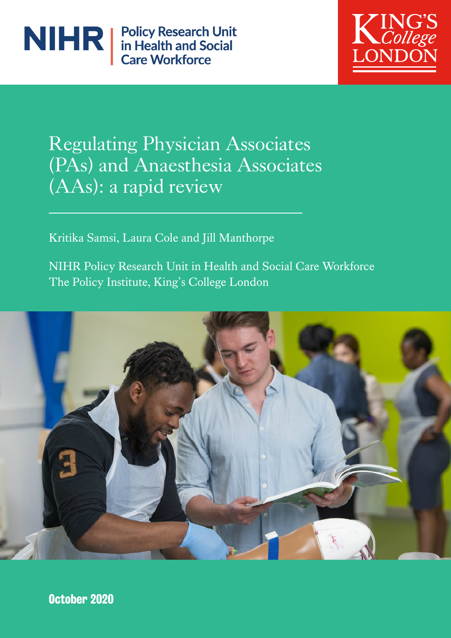



# Regulating Physician Associates (PAs) and Anaesthesia Associates (AAs): a rapid review

Kritika Samsi, Laura Cole and Jill Manthorpe

NIHR Policy Research Unit in Health and Social Care Workforce The Policy Institute, King's College London



October 2020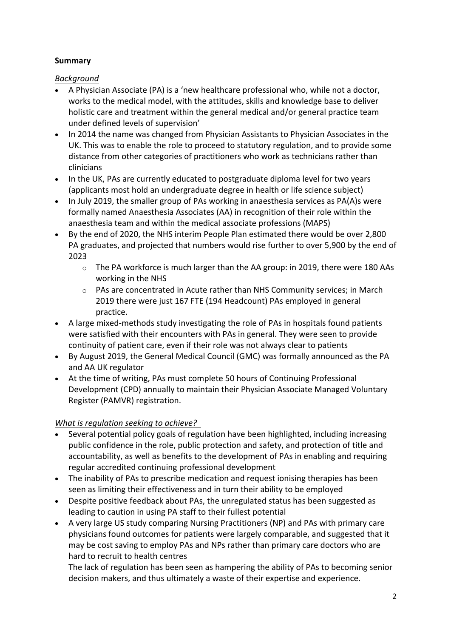## **Summary**

*Background*

- A Physician Associate (PA) is a 'new healthcare professional who, while not a doctor, works to the medical model, with the attitudes, skills and knowledge base to deliver holistic care and treatment within the general medical and/or general practice team under defined levels of supervision'
- In 2014 the name was changed from Physician Assistants to Physician Associates in the UK. This was to enable the role to proceed to statutory regulation, and to provide some distance from other categories of practitioners who work as technicians rather than clinicians
- In the UK, PAs are currently educated to postgraduate diploma level for two years (applicants most hold an undergraduate degree in health or life science subject)
- In July 2019, the smaller group of PAs working in anaesthesia services as PA(A)s were formally named Anaesthesia Associates (AA) in recognition of their role within the anaesthesia team and within the medical associate professions (MAPS)
- By the end of 2020, the NHS interim People Plan estimated there would be over 2,800 PA graduates, and projected that numbers would rise further to over 5,900 by the end of 2023
	- $\circ$  The PA workforce is much larger than the AA group: in 2019, there were 180 AAs working in the NHS
	- o PAs are concentrated in Acute rather than NHS Community services; in March 2019 there were just 167 FTE (194 Headcount) PAs employed in general practice.
- A large mixed-methods study investigating the role of PAs in hospitals found patients were satisfied with their encounters with PAs in general. They were seen to provide continuity of patient care, even if their role was not always clear to patients
- By August 2019, the General Medical Council (GMC) was formally announced as the PA and AA UK regulator
- At the time of writing, PAs must complete 50 hours of Continuing Professional Development (CPD) annually to maintain their Physician Associate Managed Voluntary Register (PAMVR) registration.

## *What is regulation seeking to achieve?*

- Several potential policy goals of regulation have been highlighted, including increasing public confidence in the role, public protection and safety, and protection of title and accountability, as well as benefits to the development of PAs in enabling and requiring regular accredited continuing professional development
- The inability of PAs to prescribe medication and request ionising therapies has been seen as limiting their effectiveness and in turn their ability to be employed
- Despite positive feedback about PAs, the unregulated status has been suggested as leading to caution in using PA staff to their fullest potential
- A very large US study comparing Nursing Practitioners (NP) and PAs with primary care physicians found outcomes for patients were largely comparable, and suggested that it may be cost saving to employ PAs and NPs rather than primary care doctors who are hard to recruit to health centres

The lack of regulation has been seen as hampering the ability of PAs to becoming senior decision makers, and thus ultimately a waste of their expertise and experience.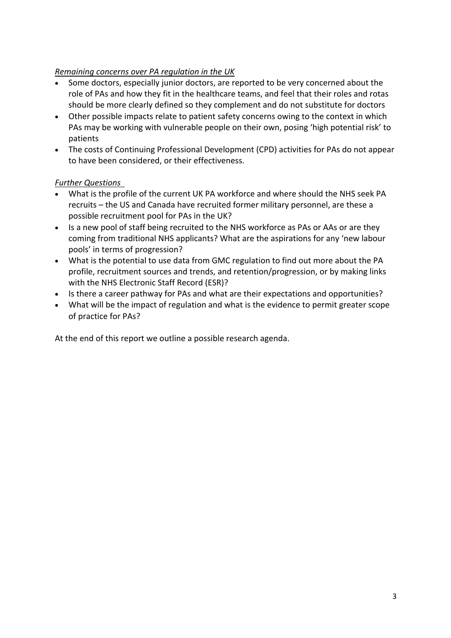#### *Remaining concerns over PA regulation in the UK*

- Some doctors, especially junior doctors, are reported to be very concerned about the role of PAs and how they fit in the healthcare teams, and feel that their roles and rotas should be more clearly defined so they complement and do not substitute for doctors
- Other possible impacts relate to patient safety concerns owing to the context in which PAs may be working with vulnerable people on their own, posing 'high potential risk' to patients
- The costs of Continuing Professional Development (CPD) activities for PAs do not appear to have been considered, or their effectiveness.

### *Further Questions*

- What is the profile of the current UK PA workforce and where should the NHS seek PA recruits – the US and Canada have recruited former military personnel, are these a possible recruitment pool for PAs in the UK?
- Is a new pool of staff being recruited to the NHS workforce as PAs or AAs or are they coming from traditional NHS applicants? What are the aspirations for any 'new labour pools' in terms of progression?
- What is the potential to use data from GMC regulation to find out more about the PA profile, recruitment sources and trends, and retention/progression, or by making links with the NHS Electronic Staff Record (ESR)?
- Is there a career pathway for PAs and what are their expectations and opportunities?
- What will be the impact of regulation and what is the evidence to permit greater scope of practice for PAs?

At the end of this report we outline a possible research agenda.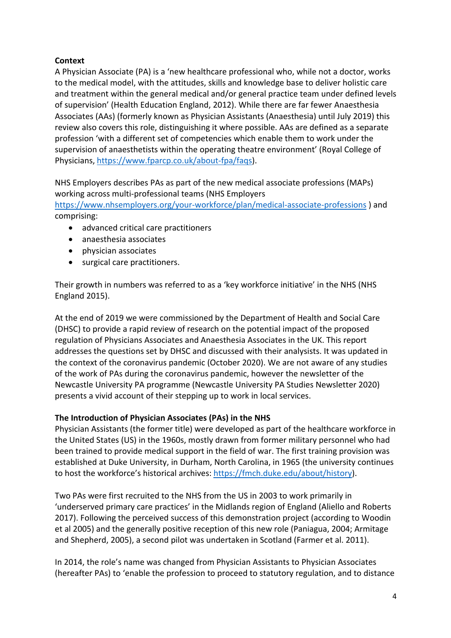### **Context**

A Physician Associate (PA) is a 'new healthcare professional who, while not a doctor, works to the medical model, with the attitudes, skills and knowledge base to deliver holistic care and treatment within the general medical and/or general practice team under defined levels of supervision' (Health Education England, 2012). While there are far fewer Anaesthesia Associates (AAs) (formerly known as Physician Assistants (Anaesthesia) until July 2019) this review also covers this role, distinguishing it where possible. AAs are defined as a separate profession 'with a different set of competencies which enable them to work under the supervision of anaesthetists within the operating theatre environment' (Royal College of Physicians, https://www.fparcp.co.uk/about-fpa/faqs).

NHS Employers describes PAs as part of the new medical associate professions (MAPs) working across multi-professional teams (NHS Employers

https://www.nhsemployers.org/your-workforce/plan/medical-associate-professions ) and comprising:

- advanced critical care practitioners
- anaesthesia associates
- physician associates
- surgical care practitioners.

Their growth in numbers was referred to as a 'key workforce initiative' in the NHS (NHS England 2015).

At the end of 2019 we were commissioned by the Department of Health and Social Care (DHSC) to provide a rapid review of research on the potential impact of the proposed regulation of Physicians Associates and Anaesthesia Associates in the UK. This report addresses the questions set by DHSC and discussed with their analysists. It was updated in the context of the coronavirus pandemic (October 2020). We are not aware of any studies of the work of PAs during the coronavirus pandemic, however the newsletter of the Newcastle University PA programme (Newcastle University PA Studies Newsletter 2020) presents a vivid account of their stepping up to work in local services.

#### **The Introduction of Physician Associates (PAs) in the NHS**

Physician Assistants (the former title) were developed as part of the healthcare workforce in the United States (US) in the 1960s, mostly drawn from former military personnel who had been trained to provide medical support in the field of war. The first training provision was established at Duke University, in Durham, North Carolina, in 1965 (the university continues to host the workforce's historical archives: https://fmch.duke.edu/about/history).

Two PAs were first recruited to the NHS from the US in 2003 to work primarily in 'underserved primary care practices' in the Midlands region of England (Aliello and Roberts 2017). Following the perceived success of this demonstration project (according to Woodin et al 2005) and the generally positive reception of this new role (Paniagua, 2004; Armitage and Shepherd, 2005), a second pilot was undertaken in Scotland (Farmer et al. 2011).

In 2014, the role's name was changed from Physician Assistants to Physician Associates (hereafter PAs) to 'enable the profession to proceed to statutory regulation, and to distance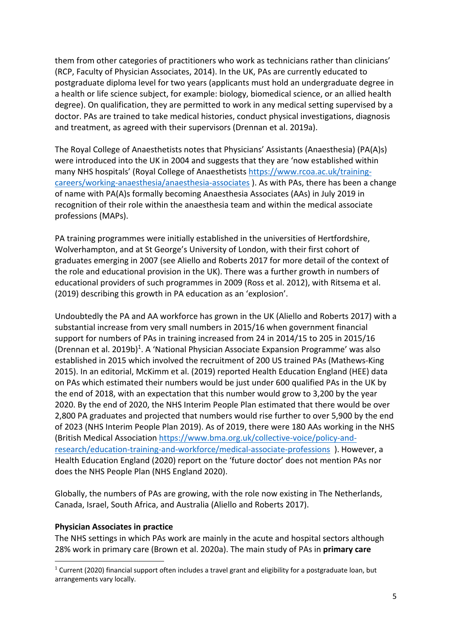them from other categories of practitioners who work as technicians rather than clinicians' (RCP, Faculty of Physician Associates, 2014). In the UK, PAs are currently educated to postgraduate diploma level for two years (applicants must hold an undergraduate degree in a health or life science subject, for example: biology, biomedical science, or an allied health degree). On qualification, they are permitted to work in any medical setting supervised by a doctor. PAs are trained to take medical histories, conduct physical investigations, diagnosis and treatment, as agreed with their supervisors (Drennan et al. 2019a).

The Royal College of Anaesthetists notes that Physicians' Assistants (Anaesthesia) (PA(A)s) were introduced into the UK in 2004 and suggests that they are 'now established within many NHS hospitals' (Royal College of Anaesthetists https://www.rcoa.ac.uk/trainingcareers/working-anaesthesia/anaesthesia-associates ). As with PAs, there has been a change of name with PA(A)s formally becoming Anaesthesia Associates (AAs) in July 2019 in recognition of their role within the anaesthesia team and within the medical associate professions (MAPs).

PA training programmes were initially established in the universities of Hertfordshire, Wolverhampton, and at St George's University of London, with their first cohort of graduates emerging in 2007 (see Aliello and Roberts 2017 for more detail of the context of the role and educational provision in the UK). There was a further growth in numbers of educational providers of such programmes in 2009 (Ross et al. 2012), with Ritsema et al. (2019) describing this growth in PA education as an 'explosion'.

Undoubtedly the PA and AA workforce has grown in the UK (Aliello and Roberts 2017) with a substantial increase from very small numbers in 2015/16 when government financial support for numbers of PAs in training increased from 24 in 2014/15 to 205 in 2015/16 (Drennan et al. 2019b) 1. A 'National Physician Associate Expansion Programme' was also established in 2015 which involved the recruitment of 200 US trained PAs (Mathews-King 2015). In an editorial, McKimm et al. (2019) reported Health Education England (HEE) data on PAs which estimated their numbers would be just under 600 qualified PAs in the UK by the end of 2018, with an expectation that this number would grow to 3,200 by the year 2020. By the end of 2020, the NHS Interim People Plan estimated that there would be over 2,800 PA graduates and projected that numbers would rise further to over 5,900 by the end of 2023 (NHS Interim People Plan 2019). As of 2019, there were 180 AAs working in the NHS (British Medical Association https://www.bma.org.uk/collective-voice/policy-andresearch/education-training-and-workforce/medical-associate-professions ). However, a Health Education England (2020) report on the 'future doctor' does not mention PAs nor does the NHS People Plan (NHS England 2020).

Globally, the numbers of PAs are growing, with the role now existing in The Netherlands, Canada, Israel, South Africa, and Australia (Aliello and Roberts 2017).

#### **Physician Associates in practice**

The NHS settings in which PAs work are mainly in the acute and hospital sectors although 28% work in primary care (Brown et al. 2020a). The main study of PAs in **primary care**

 $1$  Current (2020) financial support often includes a travel grant and eligibility for a postgraduate loan, but arrangements vary locally.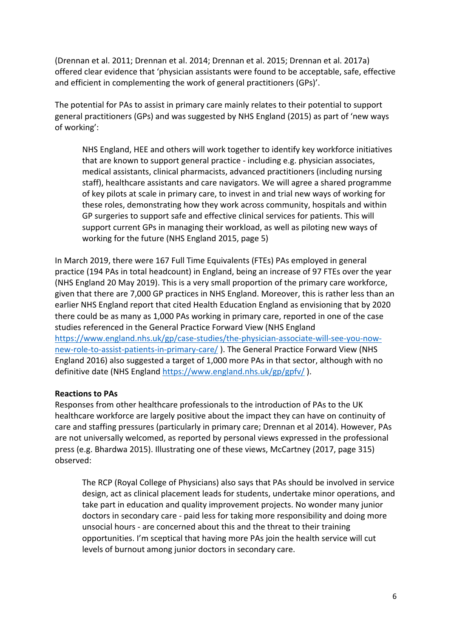(Drennan et al. 2011; Drennan et al. 2014; Drennan et al. 2015; Drennan et al. 2017a) offered clear evidence that 'physician assistants were found to be acceptable, safe, effective and efficient in complementing the work of general practitioners (GPs)'.

The potential for PAs to assist in primary care mainly relates to their potential to support general practitioners (GPs) and was suggested by NHS England (2015) as part of 'new ways of working':

NHS England, HEE and others will work together to identify key workforce initiatives that are known to support general practice - including e.g. physician associates, medical assistants, clinical pharmacists, advanced practitioners (including nursing staff), healthcare assistants and care navigators. We will agree a shared programme of key pilots at scale in primary care, to invest in and trial new ways of working for these roles, demonstrating how they work across community, hospitals and within GP surgeries to support safe and effective clinical services for patients. This will support current GPs in managing their workload, as well as piloting new ways of working for the future (NHS England 2015, page 5)

In March 2019, there were 167 Full Time Equivalents (FTEs) PAs employed in general practice (194 PAs in total headcount) in England, being an increase of 97 FTEs over the year (NHS England 20 May 2019). This is a very small proportion of the primary care workforce, given that there are 7,000 GP practices in NHS England. Moreover, this is rather less than an earlier NHS England report that cited Health Education England as envisioning that by 2020 there could be as many as 1,000 PAs working in primary care, reported in one of the case studies referenced in the General Practice Forward View (NHS England https://www.england.nhs.uk/gp/case-studies/the-physician-associate-will-see-you-nownew-role-to-assist-patients-in-primary-care/ ). The General Practice Forward View (NHS England 2016) also suggested a target of 1,000 more PAs in that sector, although with no definitive date (NHS England https://www.england.nhs.uk/gp/gpfv/ ).

#### **Reactions to PAs**

Responses from other healthcare professionals to the introduction of PAs to the UK healthcare workforce are largely positive about the impact they can have on continuity of care and staffing pressures (particularly in primary care; Drennan et al 2014). However, PAs are not universally welcomed, as reported by personal views expressed in the professional press (e.g. Bhardwa 2015). Illustrating one of these views, McCartney (2017, page 315) observed:

The RCP (Royal College of Physicians) also says that PAs should be involved in service design, act as clinical placement leads for students, undertake minor operations, and take part in education and quality improvement projects. No wonder many junior doctors in secondary care - paid less for taking more responsibility and doing more unsocial hours - are concerned about this and the threat to their training opportunities. I'm sceptical that having more PAs join the health service will cut levels of burnout among junior doctors in secondary care.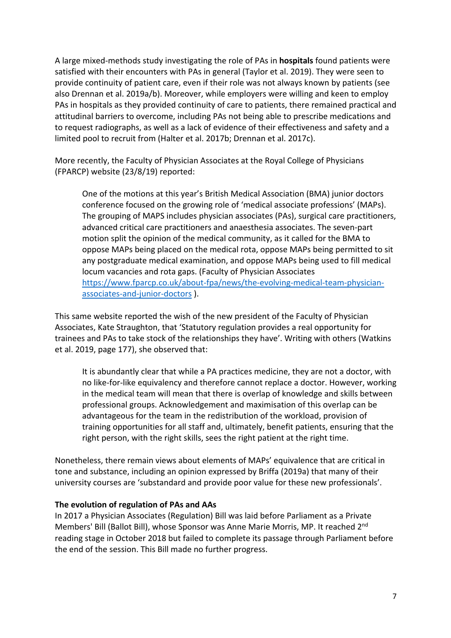A large mixed-methods study investigating the role of PAs in **hospitals** found patients were satisfied with their encounters with PAs in general (Taylor et al. 2019). They were seen to provide continuity of patient care, even if their role was not always known by patients (see also Drennan et al. 2019a/b). Moreover, while employers were willing and keen to employ PAs in hospitals as they provided continuity of care to patients, there remained practical and attitudinal barriers to overcome, including PAs not being able to prescribe medications and to request radiographs, as well as a lack of evidence of their effectiveness and safety and a limited pool to recruit from (Halter et al. 2017b; Drennan et al. 2017c).

More recently, the Faculty of Physician Associates at the Royal College of Physicians (FPARCP) website (23/8/19) reported:

One of the motions at this year's British Medical Association (BMA) junior doctors conference focused on the growing role of 'medical associate professions' (MAPs). The grouping of MAPS includes physician associates (PAs), surgical care practitioners, advanced critical care practitioners and anaesthesia associates. The seven-part motion split the opinion of the medical community, as it called for the BMA to oppose MAPs being placed on the medical rota, oppose MAPs being permitted to sit any postgraduate medical examination, and oppose MAPs being used to fill medical locum vacancies and rota gaps. (Faculty of Physician Associates https://www.fparcp.co.uk/about-fpa/news/the-evolving-medical-team-physicianassociates-and-junior-doctors ).

This same website reported the wish of the new president of the Faculty of Physician Associates, Kate Straughton, that 'Statutory regulation provides a real opportunity for trainees and PAs to take stock of the relationships they have'. Writing with others (Watkins et al. 2019, page 177), she observed that:

It is abundantly clear that while a PA practices medicine, they are not a doctor, with no like-for-like equivalency and therefore cannot replace a doctor. However, working in the medical team will mean that there is overlap of knowledge and skills between professional groups. Acknowledgement and maximisation of this overlap can be advantageous for the team in the redistribution of the workload, provision of training opportunities for all staff and, ultimately, benefit patients, ensuring that the right person, with the right skills, sees the right patient at the right time.

Nonetheless, there remain views about elements of MAPs' equivalence that are critical in tone and substance, including an opinion expressed by Briffa (2019a) that many of their university courses are 'substandard and provide poor value for these new professionals'.

#### **The evolution of regulation of PAs and AAs**

In 2017 a Physician Associates (Regulation) Bill was laid before Parliament as a Private Members' Bill (Ballot Bill), whose Sponsor was Anne Marie Morris, MP. It reached 2nd reading stage in October 2018 but failed to complete its passage through Parliament before the end of the session. This Bill made no further progress.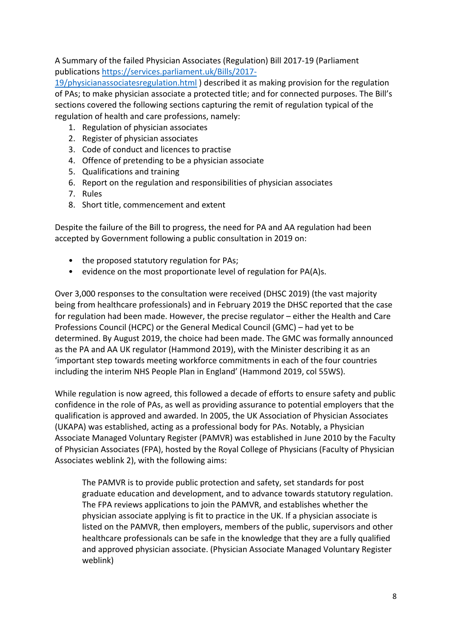A Summary of the failed Physician Associates (Regulation) Bill 2017-19 (Parliament publications https://services.parliament.uk/Bills/2017-

19/physicianassociatesregulation.html ) described it as making provision for the regulation of PAs; to make physician associate a protected title; and for connected purposes. The Bill's sections covered the following sections capturing the remit of regulation typical of the regulation of health and care professions, namely:

- 1. Regulation of physician associates
- 2. Register of physician associates
- 3. Code of conduct and licences to practise
- 4. Offence of pretending to be a physician associate
- 5. Qualifications and training
- 6. Report on the regulation and responsibilities of physician associates
- 7. Rules
- 8. Short title, commencement and extent

Despite the failure of the Bill to progress, the need for PA and AA regulation had been accepted by Government following a public consultation in 2019 on:

- the proposed statutory regulation for PAs;
- evidence on the most proportionate level of regulation for PA(A)s.

Over 3,000 responses to the consultation were received (DHSC 2019) (the vast majority being from healthcare professionals) and in February 2019 the DHSC reported that the case for regulation had been made. However, the precise regulator – either the Health and Care Professions Council (HCPC) or the General Medical Council (GMC) – had yet to be determined. By August 2019, the choice had been made. The GMC was formally announced as the PA and AA UK regulator (Hammond 2019), with the Minister describing it as an 'important step towards meeting workforce commitments in each of the four countries including the interim NHS People Plan in England' (Hammond 2019, col 55WS).

While regulation is now agreed, this followed a decade of efforts to ensure safety and public confidence in the role of PAs, as well as providing assurance to potential employers that the qualification is approved and awarded. In 2005, the UK Association of Physician Associates (UKAPA) was established, acting as a professional body for PAs. Notably, a Physician Associate Managed Voluntary Register (PAMVR) was established in June 2010 by the Faculty of Physician Associates (FPA), hosted by the Royal College of Physicians (Faculty of Physician Associates weblink 2), with the following aims:

The PAMVR is to provide public protection and safety, set standards for post graduate education and development, and to advance towards statutory regulation. The FPA reviews applications to join the PAMVR, and establishes whether the physician associate applying is fit to practice in the UK. If a physician associate is listed on the PAMVR, then employers, members of the public, supervisors and other healthcare professionals can be safe in the knowledge that they are a fully qualified and approved physician associate. (Physician Associate Managed Voluntary Register weblink)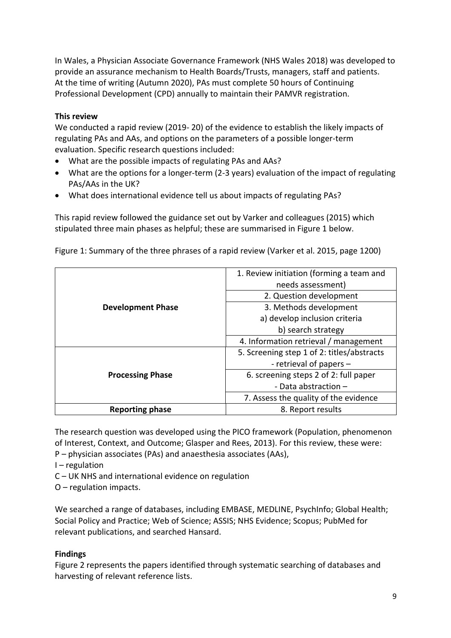In Wales, a Physician Associate Governance Framework (NHS Wales 2018) was developed to provide an assurance mechanism to Health Boards/Trusts, managers, staff and patients. At the time of writing (Autumn 2020), PAs must complete 50 hours of Continuing Professional Development (CPD) annually to maintain their PAMVR registration.

#### **This review**

We conducted a rapid review (2019- 20) of the evidence to establish the likely impacts of regulating PAs and AAs, and options on the parameters of a possible longer-term evaluation. Specific research questions included:

- What are the possible impacts of regulating PAs and AAs?
- What are the options for a longer-term (2-3 years) evaluation of the impact of regulating PAs/AAs in the UK?
- What does international evidence tell us about impacts of regulating PAs?

This rapid review followed the guidance set out by Varker and colleagues (2015) which stipulated three main phases as helpful; these are summarised in Figure 1 below.

Figure 1: Summary of the three phrases of a rapid review (Varker et al. 2015, page 1200)

| <b>Development Phase</b> | 1. Review initiation (forming a team and<br>needs assessment) |
|--------------------------|---------------------------------------------------------------|
|                          | 2. Question development                                       |
|                          | 3. Methods development                                        |
|                          | a) develop inclusion criteria                                 |
|                          | b) search strategy                                            |
|                          | 4. Information retrieval / management                         |
| <b>Processing Phase</b>  | 5. Screening step 1 of 2: titles/abstracts                    |
|                          | - retrieval of papers -                                       |
|                          | 6. screening steps 2 of 2: full paper                         |
|                          | - Data abstraction $-$                                        |
|                          | 7. Assess the quality of the evidence                         |
| <b>Reporting phase</b>   | 8. Report results                                             |

The research question was developed using the PICO framework (Population, phenomenon of Interest, Context, and Outcome; Glasper and Rees, 2013). For this review, these were: P – physician associates (PAs) and anaesthesia associates (AAs),

- I regulation
- C UK NHS and international evidence on regulation
- O regulation impacts.

We searched a range of databases, including EMBASE, MEDLINE, PsychInfo; Global Health; Social Policy and Practice; Web of Science; ASSIS; NHS Evidence; Scopus; PubMed for relevant publications, and searched Hansard.

#### **Findings**

Figure 2 represents the papers identified through systematic searching of databases and harvesting of relevant reference lists.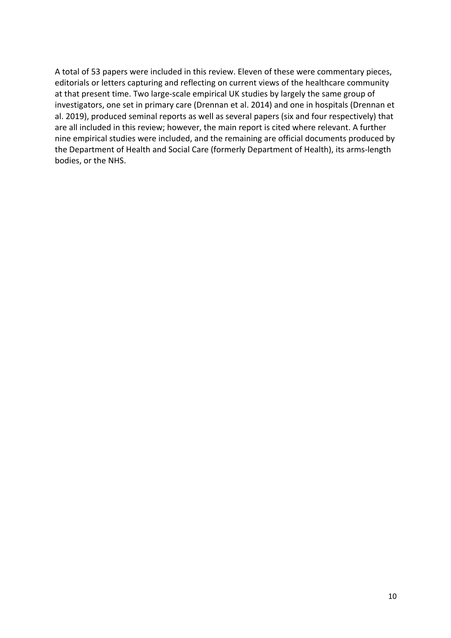A total of 53 papers were included in this review. Eleven of these were commentary pieces, editorials or letters capturing and reflecting on current views of the healthcare community at that present time. Two large-scale empirical UK studies by largely the same group of investigators, one set in primary care (Drennan et al. 2014) and one in hospitals (Drennan et al. 2019), produced seminal reports as well as several papers (six and four respectively) that are all included in this review; however, the main report is cited where relevant. A further nine empirical studies were included, and the remaining are official documents produced by the Department of Health and Social Care (formerly Department of Health), its arms-length bodies, or the NHS.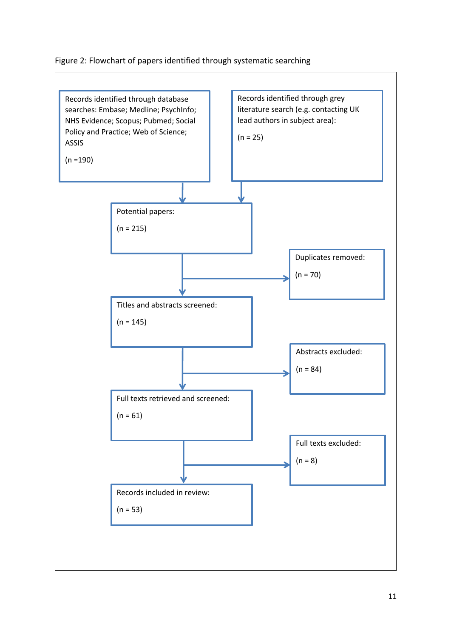#### Figure 2: Flowchart of papers identified through systematic searching

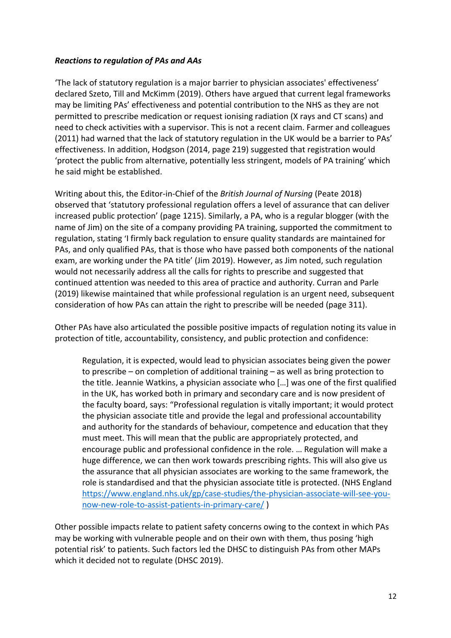#### *Reactions to regulation of PAs and AAs*

'The lack of statutory regulation is a major barrier to physician associates' effectiveness' declared Szeto, Till and McKimm (2019). Others have argued that current legal frameworks may be limiting PAs' effectiveness and potential contribution to the NHS as they are not permitted to prescribe medication or request ionising radiation (X rays and CT scans) and need to check activities with a supervisor. This is not a recent claim. Farmer and colleagues (2011) had warned that the lack of statutory regulation in the UK would be a barrier to PAs' effectiveness. In addition, Hodgson (2014, page 219) suggested that registration would 'protect the public from alternative, potentially less stringent, models of PA training' which he said might be established.

Writing about this, the Editor-in-Chief of the *British Journal of Nursing* (Peate 2018) observed that 'statutory professional regulation offers a level of assurance that can deliver increased public protection' (page 1215). Similarly, a PA, who is a regular blogger (with the name of Jim) on the site of a company providing PA training, supported the commitment to regulation, stating 'I firmly back regulation to ensure quality standards are maintained for PAs, and only qualified PAs, that is those who have passed both components of the national exam, are working under the PA title' (Jim 2019). However, as Jim noted, such regulation would not necessarily address all the calls for rights to prescribe and suggested that continued attention was needed to this area of practice and authority. Curran and Parle (2019) likewise maintained that while professional regulation is an urgent need, subsequent consideration of how PAs can attain the right to prescribe will be needed (page 311).

Other PAs have also articulated the possible positive impacts of regulation noting its value in protection of title, accountability, consistency, and public protection and confidence:

Regulation, it is expected, would lead to physician associates being given the power to prescribe – on completion of additional training – as well as bring protection to the title. Jeannie Watkins, a physician associate who […] was one of the first qualified in the UK, has worked both in primary and secondary care and is now president of the faculty board, says: "Professional regulation is vitally important; it would protect the physician associate title and provide the legal and professional accountability and authority for the standards of behaviour, competence and education that they must meet. This will mean that the public are appropriately protected, and encourage public and professional confidence in the role. … Regulation will make a huge difference, we can then work towards prescribing rights. This will also give us the assurance that all physician associates are working to the same framework, the role is standardised and that the physician associate title is protected. (NHS England https://www.england.nhs.uk/gp/case-studies/the-physician-associate-will-see-younow-new-role-to-assist-patients-in-primary-care/ )

Other possible impacts relate to patient safety concerns owing to the context in which PAs may be working with vulnerable people and on their own with them, thus posing 'high potential risk' to patients. Such factors led the DHSC to distinguish PAs from other MAPs which it decided not to regulate (DHSC 2019).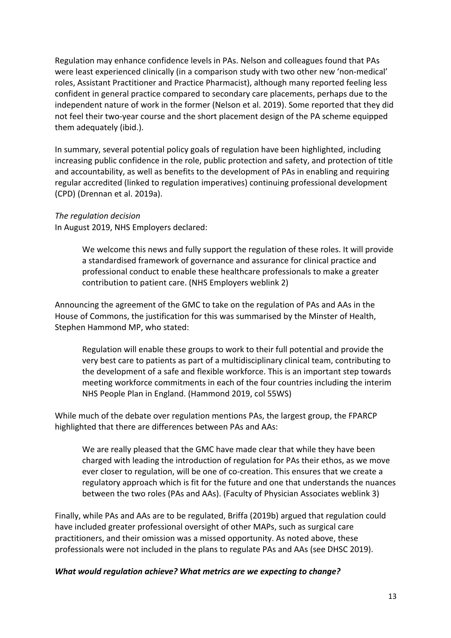Regulation may enhance confidence levels in PAs. Nelson and colleagues found that PAs were least experienced clinically (in a comparison study with two other new 'non-medical' roles, Assistant Practitioner and Practice Pharmacist), although many reported feeling less confident in general practice compared to secondary care placements, perhaps due to the independent nature of work in the former (Nelson et al. 2019). Some reported that they did not feel their two-year course and the short placement design of the PA scheme equipped them adequately (ibid.).

In summary, several potential policy goals of regulation have been highlighted, including increasing public confidence in the role, public protection and safety, and protection of title and accountability, as well as benefits to the development of PAs in enabling and requiring regular accredited (linked to regulation imperatives) continuing professional development (CPD) (Drennan et al. 2019a).

#### *The regulation decision*

In August 2019, NHS Employers declared:

We welcome this news and fully support the regulation of these roles. It will provide a standardised framework of governance and assurance for clinical practice and professional conduct to enable these healthcare professionals to make a greater contribution to patient care. (NHS Employers weblink 2)

Announcing the agreement of the GMC to take on the regulation of PAs and AAs in the House of Commons, the justification for this was summarised by the Minster of Health, Stephen Hammond MP, who stated:

Regulation will enable these groups to work to their full potential and provide the very best care to patients as part of a multidisciplinary clinical team, contributing to the development of a safe and flexible workforce. This is an important step towards meeting workforce commitments in each of the four countries including the interim NHS People Plan in England. (Hammond 2019, col 55WS)

While much of the debate over regulation mentions PAs, the largest group, the FPARCP highlighted that there are differences between PAs and AAs:

We are really pleased that the GMC have made clear that while they have been charged with leading the introduction of regulation for PAs their ethos, as we move ever closer to regulation, will be one of co-creation. This ensures that we create a regulatory approach which is fit for the future and one that understands the nuances between the two roles (PAs and AAs). (Faculty of Physician Associates weblink 3)

Finally, while PAs and AAs are to be regulated, Briffa (2019b) argued that regulation could have included greater professional oversight of other MAPs, such as surgical care practitioners, and their omission was a missed opportunity. As noted above, these professionals were not included in the plans to regulate PAs and AAs (see DHSC 2019).

#### *What would regulation achieve? What metrics are we expecting to change?*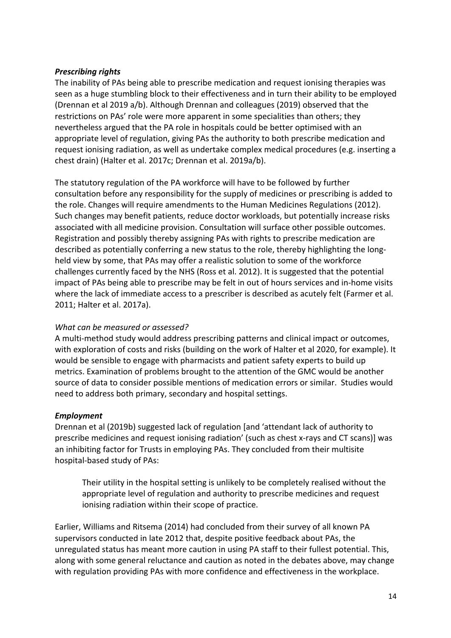#### *Prescribing rights*

The inability of PAs being able to prescribe medication and request ionising therapies was seen as a huge stumbling block to their effectiveness and in turn their ability to be employed (Drennan et al 2019 a/b). Although Drennan and colleagues (2019) observed that the restrictions on PAs' role were more apparent in some specialities than others; they nevertheless argued that the PA role in hospitals could be better optimised with an appropriate level of regulation, giving PAs the authority to both prescribe medication and request ionising radiation, as well as undertake complex medical procedures (e.g. inserting a chest drain) (Halter et al. 2017c; Drennan et al. 2019a/b).

The statutory regulation of the PA workforce will have to be followed by further consultation before any responsibility for the supply of medicines or prescribing is added to the role. Changes will require amendments to the Human Medicines Regulations (2012). Such changes may benefit patients, reduce doctor workloads, but potentially increase risks associated with all medicine provision. Consultation will surface other possible outcomes. Registration and possibly thereby assigning PAs with rights to prescribe medication are described as potentially conferring a new status to the role, thereby highlighting the longheld view by some, that PAs may offer a realistic solution to some of the workforce challenges currently faced by the NHS (Ross et al. 2012). It is suggested that the potential impact of PAs being able to prescribe may be felt in out of hours services and in-home visits where the lack of immediate access to a prescriber is described as acutely felt (Farmer et al. 2011; Halter et al. 2017a).

#### *What can be measured or assessed?*

A multi-method study would address prescribing patterns and clinical impact or outcomes, with exploration of costs and risks (building on the work of Halter et al 2020, for example). It would be sensible to engage with pharmacists and patient safety experts to build up metrics. Examination of problems brought to the attention of the GMC would be another source of data to consider possible mentions of medication errors or similar. Studies would need to address both primary, secondary and hospital settings.

#### *Employment*

Drennan et al (2019b) suggested lack of regulation [and 'attendant lack of authority to prescribe medicines and request ionising radiation' (such as chest x-rays and CT scans)] was an inhibiting factor for Trusts in employing PAs. They concluded from their multisite hospital-based study of PAs:

Their utility in the hospital setting is unlikely to be completely realised without the appropriate level of regulation and authority to prescribe medicines and request ionising radiation within their scope of practice.

Earlier, Williams and Ritsema (2014) had concluded from their survey of all known PA supervisors conducted in late 2012 that, despite positive feedback about PAs, the unregulated status has meant more caution in using PA staff to their fullest potential. This, along with some general reluctance and caution as noted in the debates above, may change with regulation providing PAs with more confidence and effectiveness in the workplace.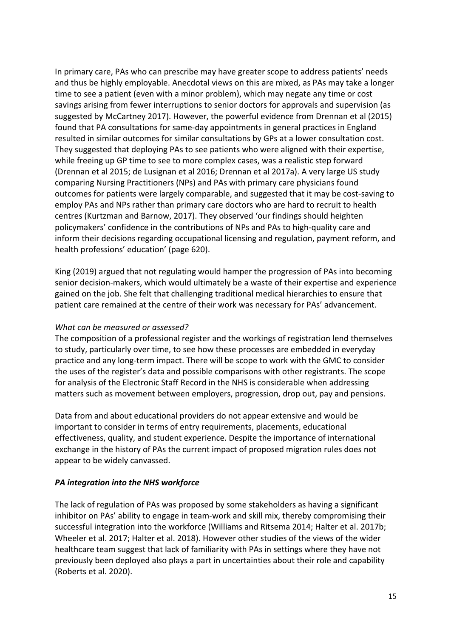In primary care, PAs who can prescribe may have greater scope to address patients' needs and thus be highly employable. Anecdotal views on this are mixed, as PAs may take a longer time to see a patient (even with a minor problem), which may negate any time or cost savings arising from fewer interruptions to senior doctors for approvals and supervision (as suggested by McCartney 2017). However, the powerful evidence from Drennan et al (2015) found that PA consultations for same-day appointments in general practices in England resulted in similar outcomes for similar consultations by GPs at a lower consultation cost. They suggested that deploying PAs to see patients who were aligned with their expertise, while freeing up GP time to see to more complex cases, was a realistic step forward (Drennan et al 2015; de Lusignan et al 2016; Drennan et al 2017a). A very large US study comparing Nursing Practitioners (NPs) and PAs with primary care physicians found outcomes for patients were largely comparable, and suggested that it may be cost-saving to employ PAs and NPs rather than primary care doctors who are hard to recruit to health centres (Kurtzman and Barnow, 2017). They observed 'our findings should heighten policymakers' confidence in the contributions of NPs and PAs to high-quality care and inform their decisions regarding occupational licensing and regulation, payment reform, and health professions' education' (page 620).

King (2019) argued that not regulating would hamper the progression of PAs into becoming senior decision-makers, which would ultimately be a waste of their expertise and experience gained on the job. She felt that challenging traditional medical hierarchies to ensure that patient care remained at the centre of their work was necessary for PAs' advancement.

#### *What can be measured or assessed?*

The composition of a professional register and the workings of registration lend themselves to study, particularly over time, to see how these processes are embedded in everyday practice and any long-term impact. There will be scope to work with the GMC to consider the uses of the register's data and possible comparisons with other registrants. The scope for analysis of the Electronic Staff Record in the NHS is considerable when addressing matters such as movement between employers, progression, drop out, pay and pensions.

Data from and about educational providers do not appear extensive and would be important to consider in terms of entry requirements, placements, educational effectiveness, quality, and student experience. Despite the importance of international exchange in the history of PAs the current impact of proposed migration rules does not appear to be widely canvassed.

#### *PA integration into the NHS workforce*

The lack of regulation of PAs was proposed by some stakeholders as having a significant inhibitor on PAs' ability to engage in team-work and skill mix, thereby compromising their successful integration into the workforce (Williams and Ritsema 2014; Halter et al. 2017b; Wheeler et al. 2017; Halter et al. 2018). However other studies of the views of the wider healthcare team suggest that lack of familiarity with PAs in settings where they have not previously been deployed also plays a part in uncertainties about their role and capability (Roberts et al. 2020).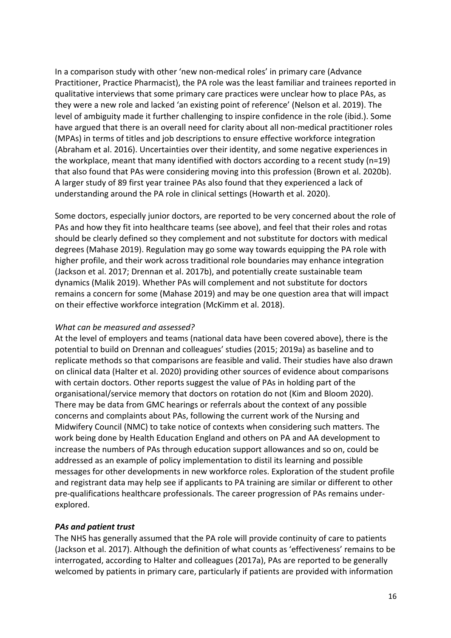In a comparison study with other 'new non-medical roles' in primary care (Advance Practitioner, Practice Pharmacist), the PA role was the least familiar and trainees reported in qualitative interviews that some primary care practices were unclear how to place PAs, as they were a new role and lacked 'an existing point of reference' (Nelson et al. 2019). The level of ambiguity made it further challenging to inspire confidence in the role (ibid.). Some have argued that there is an overall need for clarity about all non-medical practitioner roles (MPAs) in terms of titles and job descriptions to ensure effective workforce integration (Abraham et al. 2016). Uncertainties over their identity, and some negative experiences in the workplace, meant that many identified with doctors according to a recent study (n=19) that also found that PAs were considering moving into this profession (Brown et al. 2020b). A larger study of 89 first year trainee PAs also found that they experienced a lack of understanding around the PA role in clinical settings (Howarth et al. 2020).

Some doctors, especially junior doctors, are reported to be very concerned about the role of PAs and how they fit into healthcare teams (see above), and feel that their roles and rotas should be clearly defined so they complement and not substitute for doctors with medical degrees (Mahase 2019). Regulation may go some way towards equipping the PA role with higher profile, and their work across traditional role boundaries may enhance integration (Jackson et al. 2017; Drennan et al. 2017b), and potentially create sustainable team dynamics (Malik 2019). Whether PAs will complement and not substitute for doctors remains a concern for some (Mahase 2019) and may be one question area that will impact on their effective workforce integration (McKimm et al. 2018).

#### *What can be measured and assessed?*

At the level of employers and teams (national data have been covered above), there is the potential to build on Drennan and colleagues' studies (2015; 2019a) as baseline and to replicate methods so that comparisons are feasible and valid. Their studies have also drawn on clinical data (Halter et al. 2020) providing other sources of evidence about comparisons with certain doctors. Other reports suggest the value of PAs in holding part of the organisational/service memory that doctors on rotation do not (Kim and Bloom 2020). There may be data from GMC hearings or referrals about the context of any possible concerns and complaints about PAs, following the current work of the Nursing and Midwifery Council (NMC) to take notice of contexts when considering such matters. The work being done by Health Education England and others on PA and AA development to increase the numbers of PAs through education support allowances and so on, could be addressed as an example of policy implementation to distil its learning and possible messages for other developments in new workforce roles. Exploration of the student profile and registrant data may help see if applicants to PA training are similar or different to other pre-qualifications healthcare professionals. The career progression of PAs remains underexplored.

#### *PAs and patient trust*

The NHS has generally assumed that the PA role will provide continuity of care to patients (Jackson et al. 2017). Although the definition of what counts as 'effectiveness' remains to be interrogated, according to Halter and colleagues (2017a), PAs are reported to be generally welcomed by patients in primary care, particularly if patients are provided with information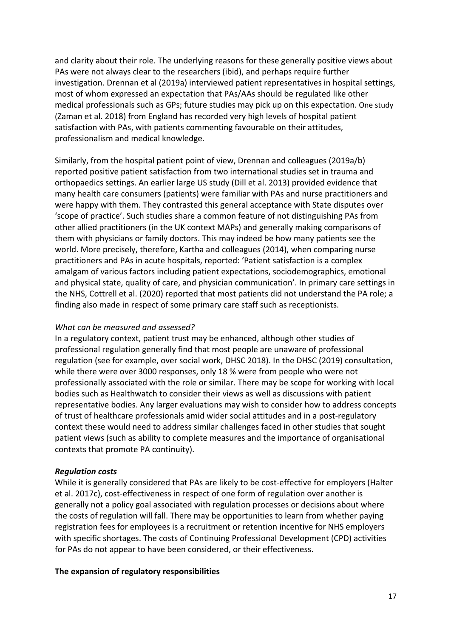and clarity about their role. The underlying reasons for these generally positive views about PAs were not always clear to the researchers (ibid), and perhaps require further investigation. Drennan et al (2019a) interviewed patient representatives in hospital settings, most of whom expressed an expectation that PAs/AAs should be regulated like other medical professionals such as GPs; future studies may pick up on this expectation. One study (Zaman et al. 2018) from England has recorded very high levels of hospital patient satisfaction with PAs, with patients commenting favourable on their attitudes, professionalism and medical knowledge.

Similarly, from the hospital patient point of view, Drennan and colleagues (2019a/b) reported positive patient satisfaction from two international studies set in trauma and orthopaedics settings. An earlier large US study (Dill et al. 2013) provided evidence that many health care consumers (patients) were familiar with PAs and nurse practitioners and were happy with them. They contrasted this general acceptance with State disputes over 'scope of practice'. Such studies share a common feature of not distinguishing PAs from other allied practitioners (in the UK context MAPs) and generally making comparisons of them with physicians or family doctors. This may indeed be how many patients see the world. More precisely, therefore, Kartha and colleagues (2014), when comparing nurse practitioners and PAs in acute hospitals, reported: 'Patient satisfaction is a complex amalgam of various factors including patient expectations, sociodemographics, emotional and physical state, quality of care, and physician communication'. In primary care settings in the NHS, Cottrell et al. (2020) reported that most patients did not understand the PA role; a finding also made in respect of some primary care staff such as receptionists.

#### *What can be measured and assessed?*

In a regulatory context, patient trust may be enhanced, although other studies of professional regulation generally find that most people are unaware of professional regulation (see for example, over social work, DHSC 2018). In the DHSC (2019) consultation, while there were over 3000 responses, only 18 % were from people who were not professionally associated with the role or similar. There may be scope for working with local bodies such as Healthwatch to consider their views as well as discussions with patient representative bodies. Any larger evaluations may wish to consider how to address concepts of trust of healthcare professionals amid wider social attitudes and in a post-regulatory context these would need to address similar challenges faced in other studies that sought patient views (such as ability to complete measures and the importance of organisational contexts that promote PA continuity).

#### *Regulation costs*

While it is generally considered that PAs are likely to be cost-effective for employers (Halter et al. 2017c), cost-effectiveness in respect of one form of regulation over another is generally not a policy goal associated with regulation processes or decisions about where the costs of regulation will fall. There may be opportunities to learn from whether paying registration fees for employees is a recruitment or retention incentive for NHS employers with specific shortages. The costs of Continuing Professional Development (CPD) activities for PAs do not appear to have been considered, or their effectiveness.

#### **The expansion of regulatory responsibilities**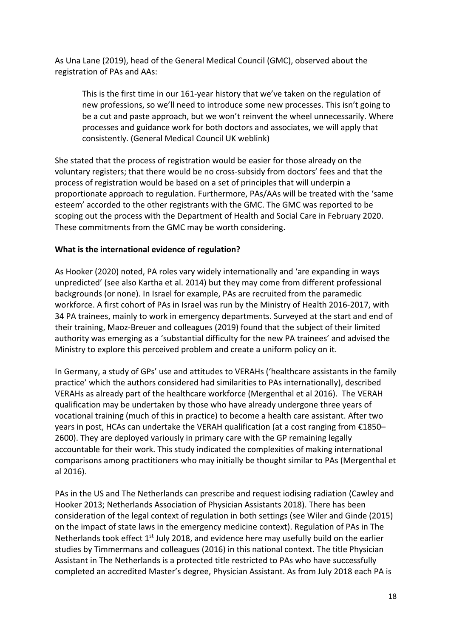As Una Lane (2019), head of the General Medical Council (GMC), observed about the registration of PAs and AAs:

This is the first time in our 161-year history that we've taken on the regulation of new professions, so we'll need to introduce some new processes. This isn't going to be a cut and paste approach, but we won't reinvent the wheel unnecessarily. Where processes and guidance work for both doctors and associates, we will apply that consistently. (General Medical Council UK weblink)

She stated that the process of registration would be easier for those already on the voluntary registers; that there would be no cross-subsidy from doctors' fees and that the process of registration would be based on a set of principles that will underpin a proportionate approach to regulation. Furthermore, PAs/AAs will be treated with the 'same esteem' accorded to the other registrants with the GMC. The GMC was reported to be scoping out the process with the Department of Health and Social Care in February 2020. These commitments from the GMC may be worth considering.

#### **What is the international evidence of regulation?**

As Hooker (2020) noted, PA roles vary widely internationally and 'are expanding in ways unpredicted' (see also Kartha et al. 2014) but they may come from different professional backgrounds (or none). In Israel for example, PAs are recruited from the paramedic workforce. A first cohort of PAs in Israel was run by the Ministry of Health 2016-2017, with 34 PA trainees, mainly to work in emergency departments. Surveyed at the start and end of their training, Maoz-Breuer and colleagues (2019) found that the subject of their limited authority was emerging as a 'substantial difficulty for the new PA trainees' and advised the Ministry to explore this perceived problem and create a uniform policy on it.

In Germany, a study of GPs' use and attitudes to VERAHs ('healthcare assistants in the family practice' which the authors considered had similarities to PAs internationally), described VERAHs as already part of the healthcare workforce (Mergenthal et al 2016). The VERAH qualification may be undertaken by those who have already undergone three years of vocational training (much of this in practice) to become a health care assistant. After two years in post, HCAs can undertake the VERAH qualification (at a cost ranging from €1850– 2600). They are deployed variously in primary care with the GP remaining legally accountable for their work. This study indicated the complexities of making international comparisons among practitioners who may initially be thought similar to PAs (Mergenthal et al 2016).

PAs in the US and The Netherlands can prescribe and request iodising radiation (Cawley and Hooker 2013; Netherlands Association of Physician Assistants 2018). There has been consideration of the legal context of regulation in both settings (see Wiler and Ginde (2015) on the impact of state laws in the emergency medicine context). Regulation of PAs in The Netherlands took effect  $1<sup>st</sup>$  July 2018, and evidence here may usefully build on the earlier studies by Timmermans and colleagues (2016) in this national context. The title Physician Assistant in The Netherlands is a protected title restricted to PAs who have successfully completed an accredited Master's degree, Physician Assistant. As from July 2018 each PA is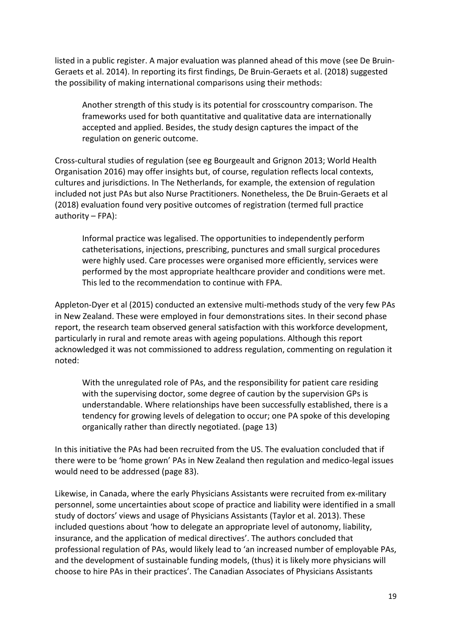listed in a public register. A major evaluation was planned ahead of this move (see De Bruin-Geraets et al. 2014). In reporting its first findings, De Bruin-Geraets et al. (2018) suggested the possibility of making international comparisons using their methods:

Another strength of this study is its potential for crosscountry comparison. The frameworks used for both quantitative and qualitative data are internationally accepted and applied. Besides, the study design captures the impact of the regulation on generic outcome.

Cross-cultural studies of regulation (see eg Bourgeault and Grignon 2013; World Health Organisation 2016) may offer insights but, of course, regulation reflects local contexts, cultures and jurisdictions. In The Netherlands, for example, the extension of regulation included not just PAs but also Nurse Practitioners. Nonetheless, the De Bruin-Geraets et al (2018) evaluation found very positive outcomes of registration (termed full practice authority – FPA):

Informal practice was legalised. The opportunities to independently perform catheterisations, injections, prescribing, punctures and small surgical procedures were highly used. Care processes were organised more efficiently, services were performed by the most appropriate healthcare provider and conditions were met. This led to the recommendation to continue with FPA.

Appleton-Dyer et al (2015) conducted an extensive multi-methods study of the very few PAs in New Zealand. These were employed in four demonstrations sites. In their second phase report, the research team observed general satisfaction with this workforce development, particularly in rural and remote areas with ageing populations. Although this report acknowledged it was not commissioned to address regulation, commenting on regulation it noted:

With the unregulated role of PAs, and the responsibility for patient care residing with the supervising doctor, some degree of caution by the supervision GPs is understandable. Where relationships have been successfully established, there is a tendency for growing levels of delegation to occur; one PA spoke of this developing organically rather than directly negotiated. (page 13)

In this initiative the PAs had been recruited from the US. The evaluation concluded that if there were to be 'home grown' PAs in New Zealand then regulation and medico-legal issues would need to be addressed (page 83).

Likewise, in Canada, where the early Physicians Assistants were recruited from ex-military personnel, some uncertainties about scope of practice and liability were identified in a small study of doctors' views and usage of Physicians Assistants (Taylor et al. 2013). These included questions about 'how to delegate an appropriate level of autonomy, liability, insurance, and the application of medical directives'. The authors concluded that professional regulation of PAs, would likely lead to 'an increased number of employable PAs, and the development of sustainable funding models, (thus) it is likely more physicians will choose to hire PAs in their practices'. The Canadian Associates of Physicians Assistants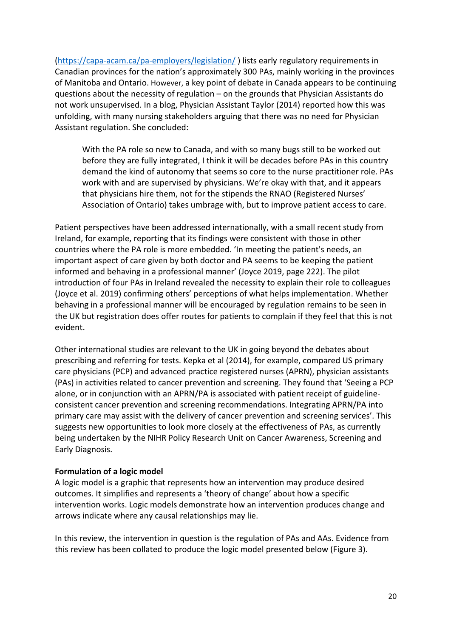(https://capa-acam.ca/pa-employers/legislation/ ) lists early regulatory requirements in Canadian provinces for the nation's approximately 300 PAs, mainly working in the provinces of Manitoba and Ontario. However, a key point of debate in Canada appears to be continuing questions about the necessity of regulation – on the grounds that Physician Assistants do not work unsupervised. In a blog, Physician Assistant Taylor (2014) reported how this was unfolding, with many nursing stakeholders arguing that there was no need for Physician Assistant regulation. She concluded:

With the PA role so new to Canada, and with so many bugs still to be worked out before they are fully integrated, I think it will be decades before PAs in this country demand the kind of autonomy that seems so core to the nurse practitioner role. PAs work with and are supervised by physicians. We're okay with that, and it appears that physicians hire them, not for the stipends the RNAO (Registered Nurses' Association of Ontario) takes umbrage with, but to improve patient access to care.

Patient perspectives have been addressed internationally, with a small recent study from Ireland, for example, reporting that its findings were consistent with those in other countries where the PA role is more embedded. 'In meeting the patient's needs, an important aspect of care given by both doctor and PA seems to be keeping the patient informed and behaving in a professional manner' (Joyce 2019, page 222). The pilot introduction of four PAs in Ireland revealed the necessity to explain their role to colleagues (Joyce et al. 2019) confirming others' perceptions of what helps implementation. Whether behaving in a professional manner will be encouraged by regulation remains to be seen in the UK but registration does offer routes for patients to complain if they feel that this is not evident.

Other international studies are relevant to the UK in going beyond the debates about prescribing and referring for tests. Kepka et al (2014), for example, compared US primary care physicians (PCP) and advanced practice registered nurses (APRN), physician assistants (PAs) in activities related to cancer prevention and screening. They found that 'Seeing a PCP alone, or in conjunction with an APRN/PA is associated with patient receipt of guidelineconsistent cancer prevention and screening recommendations. Integrating APRN/PA into primary care may assist with the delivery of cancer prevention and screening services'. This suggests new opportunities to look more closely at the effectiveness of PAs, as currently being undertaken by the NIHR Policy Research Unit on Cancer Awareness, Screening and Early Diagnosis.

#### **Formulation of a logic model**

A logic model is a graphic that represents how an intervention may produce desired outcomes. It simplifies and represents a 'theory of change' about how a specific intervention works. Logic models demonstrate how an intervention produces change and arrows indicate where any causal relationships may lie.

In this review, the intervention in question is the regulation of PAs and AAs. Evidence from this review has been collated to produce the logic model presented below (Figure 3).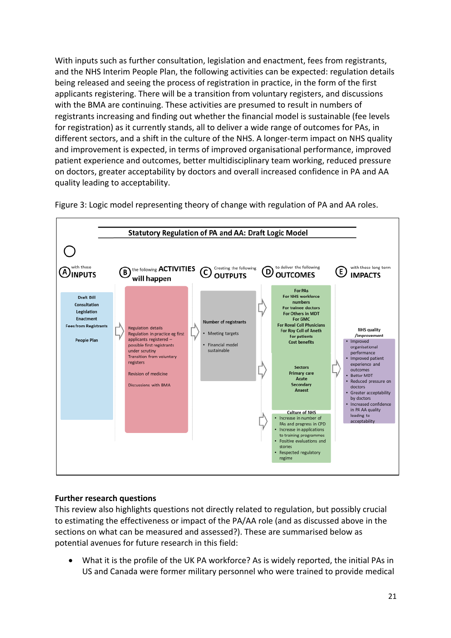With inputs such as further consultation, legislation and enactment, fees from registrants, and the NHS Interim People Plan, the following activities can be expected: regulation details being released and seeing the process of registration in practice, in the form of the first applicants registering. There will be a transition from voluntary registers, and discussions with the BMA are continuing. These activities are presumed to result in numbers of registrants increasing and finding out whether the financial model is sustainable (fee levels for registration) as it currently stands, all to deliver a wide range of outcomes for PAs, in different sectors, and a shift in the culture of the NHS. A longer-term impact on NHS quality and improvement is expected, in terms of improved organisational performance, improved patient experience and outcomes, better multidisciplinary team working, reduced pressure on doctors, greater acceptability by doctors and overall increased confidence in PA and AA quality leading to acceptability.



Figure 3: Logic model representing theory of change with regulation of PA and AA roles.

#### **Further research questions**

This review also highlights questions not directly related to regulation, but possibly crucial to estimating the effectiveness or impact of the PA/AA role (and as discussed above in the sections on what can be measured and assessed?). These are summarised below as potential avenues for future research in this field:

• What it is the profile of the UK PA workforce? As is widely reported, the initial PAs in US and Canada were former military personnel who were trained to provide medical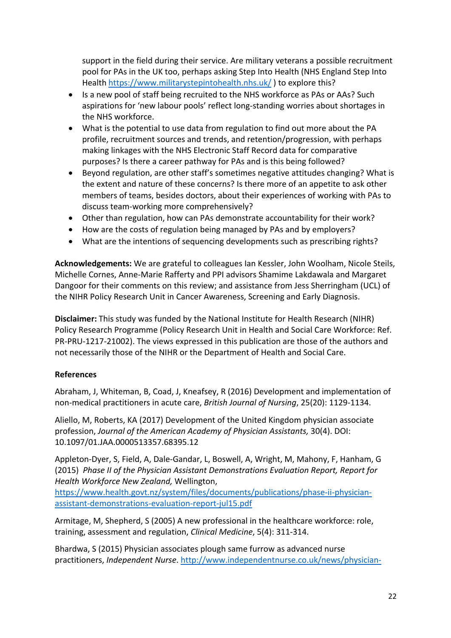support in the field during their service. Are military veterans a possible recruitment pool for PAs in the UK too, perhaps asking Step Into Health (NHS England Step Into Health https://www.militarystepintohealth.nhs.uk/ ) to explore this?

- Is a new pool of staff being recruited to the NHS workforce as PAs or AAs? Such aspirations for 'new labour pools' reflect long-standing worries about shortages in the NHS workforce.
- What is the potential to use data from regulation to find out more about the PA profile, recruitment sources and trends, and retention/progression, with perhaps making linkages with the NHS Electronic Staff Record data for comparative purposes? Is there a career pathway for PAs and is this being followed?
- Beyond regulation, are other staff's sometimes negative attitudes changing? What is the extent and nature of these concerns? Is there more of an appetite to ask other members of teams, besides doctors, about their experiences of working with PAs to discuss team-working more comprehensively?
- Other than regulation, how can PAs demonstrate accountability for their work?
- How are the costs of regulation being managed by PAs and by employers?
- What are the intentions of sequencing developments such as prescribing rights?

**Acknowledgements:** We are grateful to colleagues Ian Kessler, John Woolham, Nicole Steils, Michelle Cornes, Anne-Marie Rafferty and PPI advisors Shamime Lakdawala and Margaret Dangoor for their comments on this review; and assistance from Jess Sherringham (UCL) of the NIHR Policy Research Unit in Cancer Awareness, Screening and Early Diagnosis.

**Disclaimer:** This study was funded by the National Institute for Health Research (NIHR) Policy Research Programme (Policy Research Unit in Health and Social Care Workforce: Ref. PR-PRU-1217-21002). The views expressed in this publication are those of the authors and not necessarily those of the NIHR or the Department of Health and Social Care.

#### **References**

Abraham, J, Whiteman, B, Coad, J, Kneafsey, R (2016) Development and implementation of non-medical practitioners in acute care, *British Journal of Nursing*, 25(20): 1129-1134.

Aliello, M, Roberts, KA (2017) Development of the United Kingdom physician associate profession, *Journal of the American Academy of Physician Assistants,* 30(4). DOI: 10.1097/01.JAA.0000513357.68395.12

Appleton-Dyer, S, Field, A, Dale-Gandar, L, Boswell, A, Wright, M, Mahony, F, Hanham, G (2015) *Phase II of the Physician Assistant Demonstrations Evaluation Report, Report for Health Workforce New Zealand,* Wellington,

https://www.health.govt.nz/system/files/documents/publications/phase-ii-physicianassistant-demonstrations-evaluation-report-jul15.pdf

Armitage, M, Shepherd, S (2005) A new professional in the healthcare workforce: role, training, assessment and regulation, *Clinical Medicine*, 5(4): 311-314.

Bhardwa, S (2015) Physician associates plough same furrow as advanced nurse practitioners, *Independent Nurse*. http://www.independentnurse.co.uk/news/physician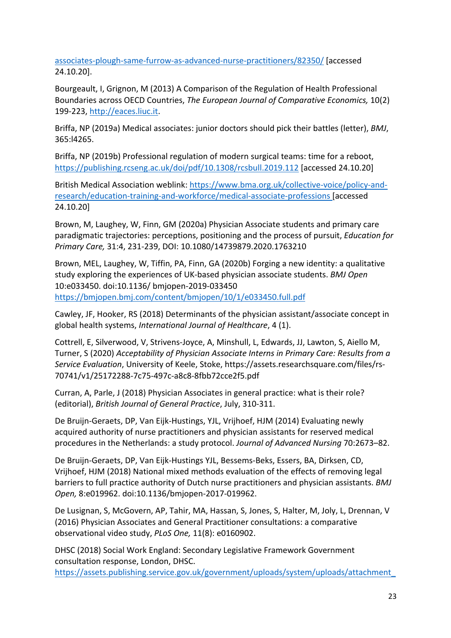associates-plough-same-furrow-as-advanced-nurse-practitioners/82350/ [accessed 24.10.20].

Bourgeault, I, Grignon, M (2013) A Comparison of the Regulation of Health Professional Boundaries across OECD Countries, *The European Journal of Comparative Economics,* 10(2) 199-223, http://eaces.liuc.it.

Briffa, NP (2019a) Medical associates: junior doctors should pick their battles (letter), *BMJ*, 365:l4265.

Briffa, NP (2019b) Professional regulation of modern surgical teams: time for a reboot, https://publishing.rcseng.ac.uk/doi/pdf/10.1308/rcsbull.2019.112 [accessed 24.10.20]

British Medical Association weblink: https://www.bma.org.uk/collective-voice/policy-andresearch/education-training-and-workforce/medical-associate-professions [accessed 24.10.20]

Brown, M, Laughey, W, Finn, GM (2020a) Physician Associate students and primary care paradigmatic trajectories: perceptions, positioning and the process of pursuit, *Education for Primary Care,* 31:4, 231-239, DOI: 10.1080/14739879.2020.1763210

Brown, MEL, Laughey, W, Tiffin, PA, Finn, GA (2020b) Forging a new identity: a qualitative study exploring the experiences of UK-based physician associate students. *BMJ Open* 10:e033450. doi:10.1136/ bmjopen-2019-033450 https://bmjopen.bmj.com/content/bmjopen/10/1/e033450.full.pdf

Cawley, JF, Hooker, RS (2018) Determinants of the physician assistant/associate concept in global health systems, *International Journal of Healthcare*, 4 (1).

Cottrell, E, Silverwood, V, Strivens-Joyce, A, Minshull, L, Edwards, JJ, Lawton, S, Aiello M, Turner, S (2020) *Acceptability of Physician Associate Interns in Primary Care: Results from a Service Evaluation*, University of Keele, Stoke, https://assets.researchsquare.com/files/rs-70741/v1/25172288-7c75-497c-a8c8-8fbb72cce2f5.pdf

Curran, A, Parle, J (2018) Physician Associates in general practice: what is their role? (editorial), *British Journal of General Practice*, July, 310-311.

De Bruijn-Geraets, DP, Van Eijk-Hustings, YJL, Vrijhoef, HJM (2014) Evaluating newly acquired authority of nurse practitioners and physician assistants for reserved medical procedures in the Netherlands: a study protocol. *Journal of Advanced Nursing* 70:2673–82.

De Bruijn-Geraets, DP, Van Eijk-Hustings YJL, Bessems-Beks, Essers, BA, Dirksen, CD, Vrijhoef, HJM (2018) National mixed methods evaluation of the effects of removing legal barriers to full practice authority of Dutch nurse practitioners and physician assistants. *BMJ Open,* 8:e019962. doi:10.1136/bmjopen-2017-019962.

De Lusignan, S, McGovern, AP, Tahir, MA, Hassan, S, Jones, S, Halter, M, Joly, L, Drennan, V (2016) Physician Associates and General Practitioner consultations: a comparative observational video study, *PLoS One,* 11(8): e0160902.

DHSC (2018) Social Work England: Secondary Legislative Framework Government consultation response, London, DHSC. https://assets.publishing.service.gov.uk/government/uploads/system/uploads/attachment\_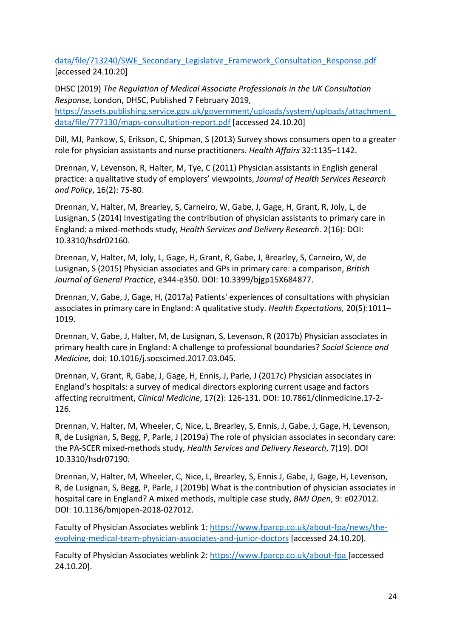data/file/713240/SWE\_Secondary\_Legislative\_Framework\_Consultation\_Response.pdf [accessed 24.10.20]

DHSC (2019) *The Regulation of Medical Associate Professionals in the UK Consultation Response,* London, DHSC, Published 7 February 2019,

https://assets.publishing.service.gov.uk/government/uploads/system/uploads/attachment\_ data/file/777130/maps-consultation-report.pdf [accessed 24.10.20]

Dill, MJ, Pankow, S, Erikson, C, Shipman, S (2013) Survey shows consumers open to a greater role for physician assistants and nurse practitioners. *Health Affairs* 32:1135–1142.

Drennan, V, Levenson, R, Halter, M, Tye, C (2011) Physician assistants in English general practice: a qualitative study of employers' viewpoints, *Journal of Health Services Research and Policy*, 16(2): 75-80.

Drennan, V, Halter, M, Brearley, S, Carneiro, W, Gabe, J, Gage, H, Grant, R, Joly, L, de Lusignan, S (2014) Investigating the contribution of physician assistants to primary care in England: a mixed-methods study, *Health Services and Delivery Research*. 2(16): DOI: 10.3310/hsdr02160.

Drennan, V, Halter, M, Joly, L, Gage, H, Grant, R, Gabe, J, Brearley, S, Carneiro, W, de Lusignan, S (2015) Physician associates and GPs in primary care: a comparison, *British Journal of General Practice*, e344-e350. DOI: 10.3399/bjgp15X684877.

Drennan, V, Gabe, J, Gage, H, (2017a) Patients' experiences of consultations with physician associates in primary care in England: A qualitative study. *Health Expectations,* 20(5):1011– 1019.

Drennan, V, Gabe, J, Halter, M, de Lusignan, S, Levenson, R (2017b) Physician associates in primary health care in England: A challenge to professional boundaries? *Social Science and Medicine,* doi: 10.1016/j.socscimed.2017.03.045.

Drennan, V, Grant, R, Gabe, J, Gage, H, Ennis, J, Parle, J (2017c) Physician associates in England's hospitals: a survey of medical directors exploring current usage and factors affecting recruitment, *Clinical Medicine*, 17(2): 126-131. DOI: 10.7861/clinmedicine.17-2- 126.

Drennan, V, Halter, M, Wheeler, C, Nice, L, Brearley, S, Ennis, J, Gabe, J, Gage, H, Levenson, R, de Lusignan, S, Begg, P, Parle, J (2019a) The role of physician associates in secondary care: the PA-SCER mixed-methods study, *Health Services and Delivery Research*, 7(19). DOI 10.3310/hsdr07190.

Drennan, V, Halter, M, Wheeler, C, Nice, L, Brearley, S, Ennis J, Gabe, J, Gage, H, Levenson, R, de Lusignan, S, Begg, P, Parle, J (2019b) What is the contribution of physician associates in hospital care in England? A mixed methods, multiple case study, *BMJ Open*, 9: e027012. DOI: 10.1136/bmjopen-2018-027012.

Faculty of Physician Associates weblink 1: https://www.fparcp.co.uk/about-fpa/news/theevolving-medical-team-physician-associates-and-junior-doctors [accessed 24.10.20].

Faculty of Physician Associates weblink 2: https://www.fparcp.co.uk/about-fpa [accessed 24.10.20].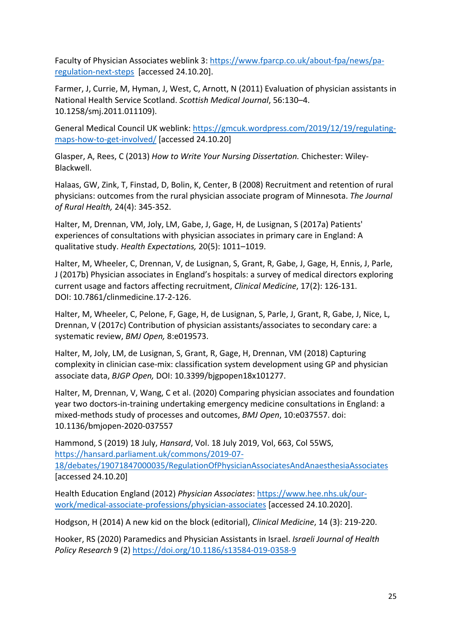Faculty of Physician Associates weblink 3: https://www.fparcp.co.uk/about-fpa/news/paregulation-next-steps [accessed 24.10.20].

Farmer, J, Currie, M, Hyman, J, West, C, Arnott, N (2011) Evaluation of physician assistants in National Health Service Scotland. *Scottish Medical Journal*, 56:130–4. 10.1258/smj.2011.011109).

General Medical Council UK weblink: https://gmcuk.wordpress.com/2019/12/19/regulatingmaps-how-to-get-involved/ [accessed 24.10.20]

Glasper, A, Rees, C (2013) *How to Write Your Nursing Dissertation.* Chichester: Wiley-Blackwell.

Halaas, GW, Zink, T, Finstad, D, Bolin, K, Center, B (2008) Recruitment and retention of rural physicians: outcomes from the rural physician associate program of Minnesota. *The Journal of Rural Health,* 24(4): 345-352.

Halter, M, Drennan, VM, Joly, LM, Gabe, J, Gage, H, de Lusignan, S (2017a) Patients' experiences of consultations with physician associates in primary care in England: A qualitative study. *Health Expectations,* 20(5): 1011–1019.

Halter, M, Wheeler, C, Drennan, V, de Lusignan, S, Grant, R, Gabe, J, Gage, H, Ennis, J, Parle, J (2017b) Physician associates in England's hospitals: a survey of medical directors exploring current usage and factors affecting recruitment, *Clinical Medicine*, 17(2): 126-131. DOI: 10.7861/clinmedicine.17-2-126.

Halter, M, Wheeler, C, Pelone, F, Gage, H, de Lusignan, S, Parle, J, Grant, R, Gabe, J, Nice, L, Drennan, V (2017c) Contribution of physician assistants/associates to secondary care: a systematic review, *BMJ Open,* 8:e019573.

Halter, M, Joly, LM, de Lusignan, S, Grant, R, Gage, H, Drennan, VM (2018) Capturing complexity in clinician case-mix: classification system development using GP and physician associate data, *BJGP Open,* DOI: 10.3399/bjgpopen18x101277.

Halter, M, Drennan, V, Wang, C et al. (2020) Comparing physician associates and foundation year two doctors-in-training undertaking emergency medicine consultations in England: a mixed-methods study of processes and outcomes, *BMJ Open*, 10:e037557. doi: 10.1136/bmjopen-2020-037557

Hammond, S (2019) 18 July, *Hansard*, Vol. 18 July 2019, Vol, 663, Col 55WS, https://hansard.parliament.uk/commons/2019-07- 18/debates/19071847000035/RegulationOfPhysicianAssociatesAndAnaesthesiaAssociates [accessed 24.10.20]

Health Education England (2012) *Physician Associates*: https://www.hee.nhs.uk/ourwork/medical-associate-professions/physician-associates [accessed 24.10.2020].

Hodgson, H (2014) A new kid on the block (editorial), *Clinical Medicine*, 14 (3): 219-220.

Hooker, RS (2020) Paramedics and Physician Assistants in Israel. *Israeli Journal of Health Policy Research* 9 (2) https://doi.org/10.1186/s13584-019-0358-9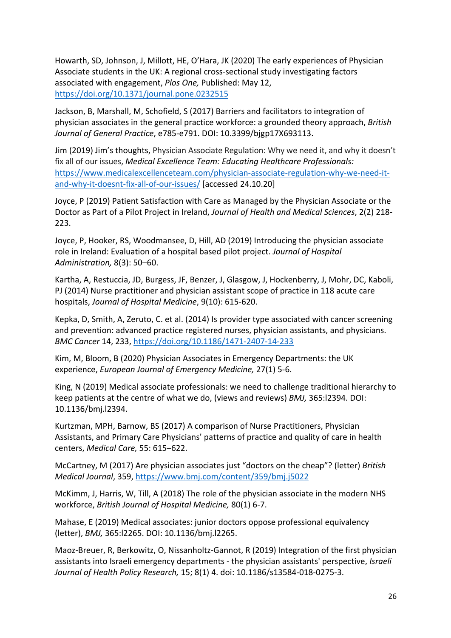Howarth, SD, Johnson, J, Millott, HE, O'Hara, JK (2020) The early experiences of Physician Associate students in the UK: A regional cross-sectional study investigating factors associated with engagement, *Plos One,* Published: May 12, https://doi.org/10.1371/journal.pone.0232515

Jackson, B, Marshall, M, Schofield, S (2017) Barriers and facilitators to integration of physician associates in the general practice workforce: a grounded theory approach, *British Journal of General Practice*, e785-e791. DOI: 10.3399/bjgp17X693113.

Jim (2019) Jim's thoughts, Physician Associate Regulation: Why we need it, and why it doesn't fix all of our issues, *Medical Excellence Team: Educating Healthcare Professionals:*  https://www.medicalexcellenceteam.com/physician-associate-regulation-why-we-need-itand-why-it-doesnt-fix-all-of-our-issues/ [accessed 24.10.20]

Joyce, P (2019) Patient Satisfaction with Care as Managed by the Physician Associate or the Doctor as Part of a Pilot Project in Ireland, *Journal of Health and Medical Sciences*, 2(2) 218- 223.

Joyce, P, Hooker, RS, Woodmansee, D, Hill, AD (2019) Introducing the physician associate role in Ireland: Evaluation of a hospital based pilot project. *Journal of Hospital Administration,* 8(3): 50–60.

Kartha, A, Restuccia, JD, Burgess, JF, Benzer, J, Glasgow, J, Hockenberry, J, Mohr, DC, Kaboli, PJ (2014) Nurse practitioner and physician assistant scope of practice in 118 acute care hospitals, *Journal of Hospital Medicine*, 9(10): 615-620.

Kepka, D, Smith, A, Zeruto, C. et al. (2014) Is provider type associated with cancer screening and prevention: advanced practice registered nurses, physician assistants, and physicians. *BMC Cancer* 14, 233, https://doi.org/10.1186/1471-2407-14-233

Kim, M, Bloom, B (2020) Physician Associates in Emergency Departments: the UK experience, *European Journal of Emergency Medicine,* 27(1) 5-6.

King, N (2019) Medical associate professionals: we need to challenge traditional hierarchy to keep patients at the centre of what we do, (views and reviews) *BMJ,* 365:l2394. DOI: 10.1136/bmj.l2394.

Kurtzman, MPH, Barnow, BS (2017) A comparison of Nurse Practitioners, Physician Assistants, and Primary Care Physicians' patterns of practice and quality of care in health centers, *Medical Care,* 55: 615–622.

McCartney, M (2017) Are physician associates just "doctors on the cheap"? (letter) *British Medical Journal*, 359, https://www.bmj.com/content/359/bmj.j5022

McKimm, J, Harris, W, Till, A (2018) The role of the physician associate in the modern NHS workforce, *British Journal of Hospital Medicine,* 80(1) 6-7.

Mahase, E (2019) Medical associates: junior doctors oppose professional equivalency (letter), *BMJ,* 365:l2265. DOI: 10.1136/bmj.l2265.

Maoz-Breuer, R, Berkowitz, O, Nissanholtz-Gannot, R (2019) Integration of the first physician assistants into Israeli emergency departments - the physician assistants' perspective, *Israeli Journal of Health Policy Research,* 15; 8(1) 4. doi: 10.1186/s13584-018-0275-3.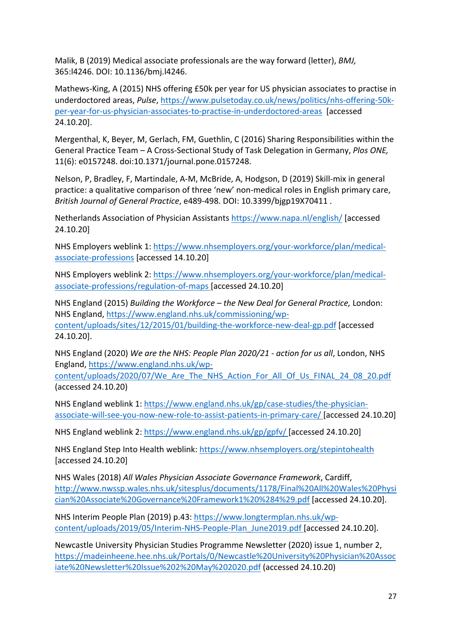Malik, B (2019) Medical associate professionals are the way forward (letter), *BMJ,*  365:l4246. DOI: 10.1136/bmj.l4246.

Mathews-King, A (2015) NHS offering £50k per year for US physician associates to practise in underdoctored areas, *Pulse*, https://www.pulsetoday.co.uk/news/politics/nhs-offering-50kper-year-for-us-physician-associates-to-practise-in-underdoctored-areas [accessed 24.10.20].

Mergenthal, K, Beyer, M, Gerlach, FM, Guethlin, C (2016) Sharing Responsibilities within the General Practice Team – A Cross-Sectional Study of Task Delegation in Germany, *Plos ONE,* 11(6): e0157248. doi:10.1371/journal.pone.0157248.

Nelson, P, Bradley, F, Martindale, A-M, McBride, A, Hodgson, D (2019) Skill-mix in general practice: a qualitative comparison of three 'new' non-medical roles in English primary care, *British Journal of General Practice*, e489-498. DOI: 10.3399/bjgp19X70411 .

Netherlands Association of Physician Assistants https://www.napa.nl/english/ [accessed 24.10.20]

NHS Employers weblink 1: https://www.nhsemployers.org/your-workforce/plan/medicalassociate-professions [accessed 14.10.20]

NHS Employers weblink 2: https://www.nhsemployers.org/your-workforce/plan/medicalassociate-professions/regulation-of-maps [accessed 24.10.20]

NHS England (2015) *Building the Workforce – the New Deal for General Practice,* London: NHS England, https://www.england.nhs.uk/commissioning/wpcontent/uploads/sites/12/2015/01/building-the-workforce-new-deal-gp.pdf [accessed 24.10.20].

NHS England (2020) *We are the NHS: People Plan 2020/21 - action for us all*, London, NHS England, https://www.england.nhs.uk/wp-

content/uploads/2020/07/We\_Are\_The\_NHS\_Action\_For\_All\_Of\_Us\_FINAL\_24\_08\_20.pdf (accessed 24.10.20)

NHS England weblink 1: https://www.england.nhs.uk/gp/case-studies/the-physicianassociate-will-see-you-now-new-role-to-assist-patients-in-primary-care/ [accessed 24.10.20]

NHS England weblink 2: https://www.england.nhs.uk/gp/gpfv/ [accessed 24.10.20]

NHS England Step Into Health weblink: https://www.nhsemployers.org/stepintohealth [accessed 24.10.20]

NHS Wales (2018) *All Wales Physician Associate Governance Framework*, Cardiff, http://www.nwssp.wales.nhs.uk/sitesplus/documents/1178/Final%20All%20Wales%20Physi cian%20Associate%20Governance%20Framework1%20%284%29.pdf [accessed 24.10.20].

NHS Interim People Plan (2019) p.43: https://www.longtermplan.nhs.uk/wpcontent/uploads/2019/05/Interim-NHS-People-Plan\_June2019.pdf [accessed 24.10.20].

Newcastle University Physician Studies Programme Newsletter (2020) issue 1, number 2, https://madeinheene.hee.nhs.uk/Portals/0/Newcastle%20University%20Physician%20Assoc iate%20Newsletter%20Issue%202%20May%202020.pdf (accessed 24.10.20)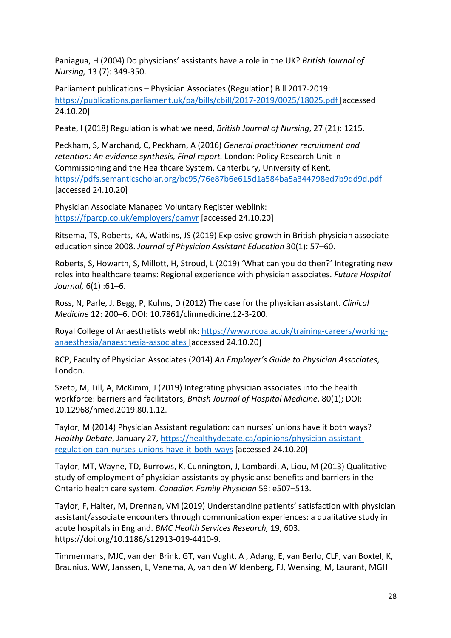Paniagua, H (2004) Do physicians' assistants have a role in the UK? *British Journal of Nursing,* 13 (7): 349-350.

Parliament publications – Physician Associates (Regulation) Bill 2017-2019: https://publications.parliament.uk/pa/bills/cbill/2017-2019/0025/18025.pdf [accessed 24.10.20]

Peate, I (2018) Regulation is what we need, *British Journal of Nursing*, 27 (21): 1215.

Peckham, S, Marchand, C, Peckham, A (2016) *General practitioner recruitment and retention: An evidence synthesis, Final report.* London: Policy Research Unit in Commissioning and the Healthcare System, Canterbury, University of Kent. https://pdfs.semanticscholar.org/bc95/76e87b6e615d1a584ba5a344798ed7b9dd9d.pdf [accessed 24.10.20]

Physician Associate Managed Voluntary Register weblink: https://fparcp.co.uk/employers/pamvr [accessed 24.10.20]

Ritsema, TS, Roberts, KA, Watkins, JS (2019) Explosive growth in British physician associate education since 2008. *Journal of Physician Assistant Education* 30(1): 57–60.

Roberts, S, Howarth, S, Millott, H, Stroud, L (2019) 'What can you do then?' Integrating new roles into healthcare teams: Regional experience with physician associates. *Future Hospital Journal,* 6(1) :61–6.

Ross, N, Parle, J, Begg, P, Kuhns, D (2012) The case for the physician assistant. *Clinical Medicine* 12: 200–6. DOI: 10.7861/clinmedicine.12-3-200.

Royal College of Anaesthetists weblink: https://www.rcoa.ac.uk/training-careers/workinganaesthesia/anaesthesia-associates [accessed 24.10.20]

RCP, Faculty of Physician Associates (2014) *An Employer's Guide to Physician Associates*, London.

Szeto, M, Till, A, McKimm, J (2019) Integrating physician associates into the health workforce: barriers and facilitators, *British Journal of Hospital Medicine*, 80(1); DOI: 10.12968/hmed.2019.80.1.12.

Taylor, M (2014) Physician Assistant regulation: can nurses' unions have it both ways? *Healthy Debate*, January 27, https://healthydebate.ca/opinions/physician-assistantregulation-can-nurses-unions-have-it-both-ways [accessed 24.10.20]

Taylor, MT, Wayne, TD, Burrows, K, Cunnington, J, Lombardi, A, Liou, M (2013) Qualitative study of employment of physician assistants by physicians: benefits and barriers in the Ontario health care system. *Canadian Family Physician* 59: e507–513.

Taylor, F, Halter, M, Drennan, VM (2019) Understanding patients' satisfaction with physician assistant/associate encounters through communication experiences: a qualitative study in acute hospitals in England. *BMC Health Services Research,* 19, 603. https://doi.org/10.1186/s12913-019-4410-9.

Timmermans, MJC, van den Brink, GT, van Vught, A , Adang, E, van Berlo, CLF, van Boxtel, K, Braunius, WW, Janssen, L, Venema, A, van den Wildenberg, FJ, Wensing, M, Laurant, MGH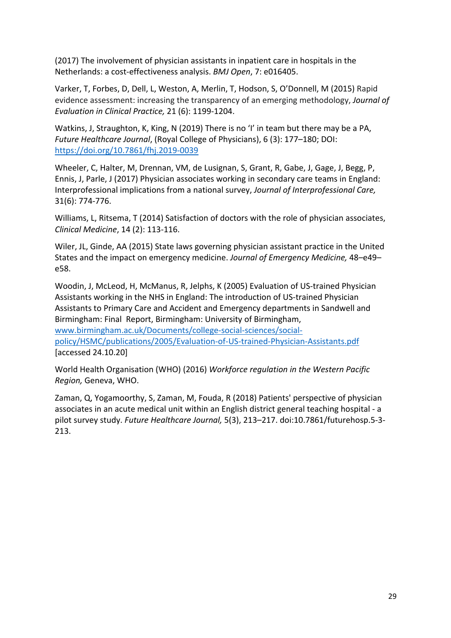(2017) The involvement of physician assistants in inpatient care in hospitals in the Netherlands: a cost-effectiveness analysis. *BMJ Open*, 7: e016405.

Varker, T, Forbes, D, Dell, L, Weston, A, Merlin, T, Hodson, S, O'Donnell, M (2015) Rapid evidence assessment: increasing the transparency of an emerging methodology, *Journal of Evaluation in Clinical Practice,* 21 (6): 1199-1204.

Watkins, J, Straughton, K, King, N (2019) There is no 'I' in team but there may be a PA, *Future Healthcare Journal*, (Royal College of Physicians), 6 (3): 177–180; DOI: https://doi.org/10.7861/fhj.2019-0039

Wheeler, C, Halter, M, Drennan, VM, de Lusignan, S, Grant, R, Gabe, J, Gage, J, Begg, P, Ennis, J, Parle, J (2017) Physician associates working in secondary care teams in England: Interprofessional implications from a national survey, *Journal of Interprofessional Care,* 31(6): 774-776.

Williams, L, Ritsema, T (2014) Satisfaction of doctors with the role of physician associates, *Clinical Medicine*, 14 (2): 113-116.

Wiler, JL, Ginde, AA (2015) State laws governing physician assistant practice in the United States and the impact on emergency medicine. *Journal of Emergency Medicine,* 48–e49– e58.

Woodin, J, McLeod, H, McManus, R, Jelphs, K (2005) Evaluation of US-trained Physician Assistants working in the NHS in England: The introduction of US-trained Physician Assistants to Primary Care and Accident and Emergency departments in Sandwell and Birmingham: Final Report, Birmingham: University of Birmingham, www.birmingham.ac.uk/Documents/college-social-sciences/socialpolicy/HSMC/publications/2005/Evaluation-of-US-trained-Physician-Assistants.pdf [accessed 24.10.20]

World Health Organisation (WHO) (2016) *Workforce regulation in the Western Pacific Region,* Geneva, WHO.

Zaman, Q, Yogamoorthy, S, Zaman, M, Fouda, R (2018) Patients' perspective of physician associates in an acute medical unit within an English district general teaching hospital - a pilot survey study. *Future Healthcare Journal,* 5(3), 213–217. doi:10.7861/futurehosp.5-3- 213.